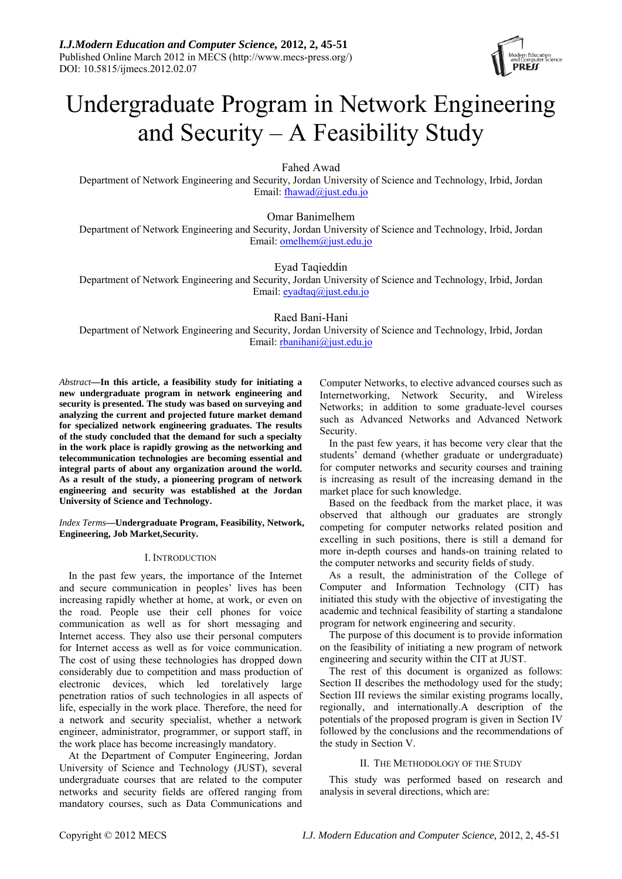

# Undergraduate Program in Network Engineering and Security – A Feasibility Study

Fahed Awad

Department of Network Engineering and Security, Jordan University of Science and Technology, Irbid, Jordan Email: [fhawad@just.edu.jo](mailto:fhawad@just.edu.jo)

Omar Banimelhem Department of Network Engineering and Security, Jordan University of Science and Technology, Irbid, Jordan Email: [omelhem@just.edu.jo](mailto:omelhem@just.edu.jo)

Eyad Taqieddin

Department of Network Engineering and Security, Jordan University of Science and Technology, Irbid, Jordan Email: [eyadtaq@just.edu.jo](mailto:eyadtaq@just.edu.jo)

Raed Bani-Hani

Department of Network Engineering and Security, Jordan University of Science and Technology, Irbid, Jordan Email: [rbanihani@just.edu.jo](mailto:rbanihani@just.edu.jo)

*Abstract***—In this article, a feasibility study for initiating a new undergraduate program in network engineering and security is presented. The study was based on surveying and analyzing the current and projected future market demand for specialized network engineering graduates. The results of the study concluded that the demand for such a specialty in the work place is rapidly growing as the networking and telecommunication technologies are becoming essential and integral parts of about any organization around the world. As a result of the study, a pioneering program of network engineering and security was established at the Jordan University of Science and Technology.** 

*Index Terms***—Undergraduate Program, Feasibility, Network, Engineering, Job Market,Security.** 

# I. INTRODUCTION

In the past few years, the importance of the Internet and secure communication in peoples' lives has been increasing rapidly whether at home, at work, or even on the road. People use their cell phones for voice communication as well as for short messaging and Internet access. They also use their personal computers for Internet access as well as for voice communication. The cost of using these technologies has dropped down considerably due to competition and mass production of electronic devices, which led torelatively large penetration ratios of such technologies in all aspects of life, especially in the work place. Therefore, the need for a network and security specialist, whether a network engineer, administrator, programmer, or support staff, in the work place has become increasingly mandatory.

At the Department of Computer Engineering, Jordan University of Science and Technology (JUST), several undergraduate courses that are related to the computer networks and security fields are offered ranging from mandatory courses, such as Data Communications and Computer Networks, to elective advanced courses such as Internetworking, Network Security, and Wireless Networks; in addition to some graduate-level courses such as Advanced Networks and Advanced Network Security.

In the past few years, it has become very clear that the students' demand (whether graduate or undergraduate) for computer networks and security courses and training is increasing as result of the increasing demand in the market place for such knowledge.

Based on the feedback from the market place, it was observed that although our graduates are strongly competing for computer networks related position and excelling in such positions, there is still a demand for more in-depth courses and hands-on training related to the computer networks and security fields of study.

As a result, the administration of the College of Computer and Information Technology (CIT) has initiated this study with the objective of investigating the academic and technical feasibility of starting a standalone program for network engineering and security.

The purpose of this document is to provide information on the feasibility of initiating a new program of network engineering and security within the CIT at JUST.

The rest of this document is organized as follows: Section II describes the methodology used for the study; Section III reviews the similar existing programs locally, regionally, and internationally.A description of the potentials of the proposed program is given in Section IV followed by the conclusions and the recommendations of the study in Section V.

# II. THE METHODOLOGY OF THE STUDY

This study was performed based on research and analysis in several directions, which are: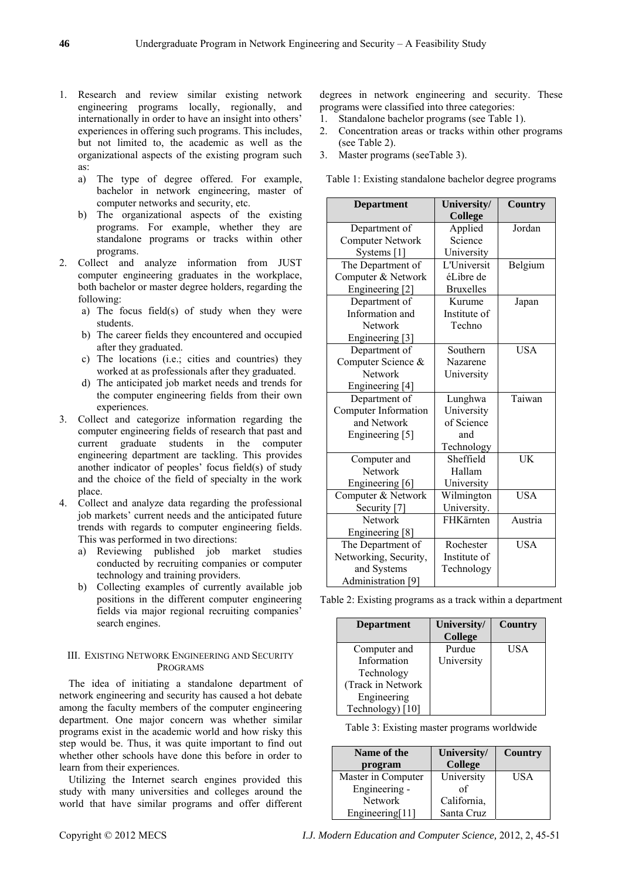- 1. Research and review similar existing network engineering programs locally, regionally, and internationally in order to have an insight into others' experiences in offering such programs. This includes, but not limited to, the academic as well as the organizational aspects of the existing program such as:
	- a) The type of degree offered. For example, bachelor in network engineering, master of computer networks and security, etc.
	- b) The organizational aspects of the existing programs. For example, whether they are standalone programs or tracks within other programs.
- <span id="page-1-0"></span>2. Collect and analyze information from JUST computer engineering graduates in the workplace, both bachelor or master degree holders, regarding the following:
	- a) The focus field(s) of study when they were students.
	- b) The career fields they encountered and occupied after they graduated.
	- c) The locations (i.e.; cities and countries) they worked at as professionals after they graduated.
	- d) The anticipated job market needs and trends for the computer engineering fields from their own experiences.
- 3. Collect and categorize information regarding the computer engineering fields of research that past and current graduate students in the computer engineering department are tackling. This provides another indicator of peoples' focus field(s) of study and the choice of the field of specialty in the work place.
- 4. Collect and analyze data regarding the professional job markets' current needs and the anticipated future trends with regards to computer engineering fields. This was performed in two directions:
	- a) Reviewing published job market studies conducted by recruiting companies or computer technology and training providers.
	- b) Collecting examples of currently available job positions in the different computer engineering fields via major regional recruiting companies' search engines.

# <span id="page-1-1"></span>III. EXISTING NETWORK ENGINEERING AND SECURITY PROGRAMS

<span id="page-1-2"></span>The idea of initiating a standalone department of network engineering and security has caused a hot debate among the faculty members of the computer engineering department. One major concern was whether similar programs exist in the academic world and how risky this step would be. Thus, it was quite important to find out whether other schools have done this before in order to learn from their experiences.

Utilizing the Internet search engines provided this study with many universities and colleges around the world that have similar programs and offer different degrees in network engineering and security. These programs were classified into three categories:

- 1. Standalone bachelor programs (see [Table 1\)](#page-1-0).
- 2. Concentration areas or tracks within other programs (see [Table 2](#page-1-1)).
- 3. Master programs (see[Table 3](#page-1-2)).

Table 1: Existing standalone bachelor degree programs

| <b>Department</b>       | University/      | <b>Country</b> |
|-------------------------|------------------|----------------|
|                         | <b>College</b>   |                |
| Department of           | Applied          | Jordan         |
| <b>Computer Network</b> | Science          |                |
| Systems $[1]$           | University       |                |
| The Department of       | L'Universit      | Belgium        |
| Computer & Network      | éLibre de        |                |
| Engineering [2]         | <b>Bruxelles</b> |                |
| Department of           | Kurume           | Japan          |
| Information and         | Institute of     |                |
| <b>Network</b>          | Techno           |                |
| Engineering [3]         |                  |                |
| Department of           | Southern         | <b>USA</b>     |
| Computer Science &      | Nazarene         |                |
| <b>Network</b>          | University       |                |
| Engineering [4]         |                  |                |
| Department of           | Lunghwa          | Taiwan         |
| Computer Information    | University       |                |
| and Network             | of Science       |                |
| Engineering [5]         | and              |                |
|                         | Technology       |                |
| Computer and            | Sheffield        | UK             |
| Network                 | Hallam           |                |
| Engineering [6]         | University       |                |
| Computer & Network      | Wilmington       | <b>USA</b>     |
| Security [7]            | University.      |                |
| <b>Network</b>          | FHKärnten        | Austria        |
| Engineering [8]         |                  |                |
| The Department of       | Rochester        | <b>USA</b>     |
| Networking, Security,   | Institute of     |                |
| and Systems             | Technology       |                |
| Administration [9]      |                  |                |

Table 2: Existing programs as a track within a department

| <b>Department</b> | University/    | <b>Country</b> |
|-------------------|----------------|----------------|
|                   | <b>College</b> |                |
| Computer and      | Purdue         | USA            |
| Information       | University     |                |
| Technology        |                |                |
| (Track in Network |                |                |
| Engineering       |                |                |
| Technology) [10]  |                |                |
|                   |                |                |

|  |  | Table 3: Existing master programs worldwide |
|--|--|---------------------------------------------|
|  |  |                                             |

| Name of the<br>program | University/<br><b>College</b> | <b>Country</b> |
|------------------------|-------------------------------|----------------|
| Master in Computer     | University                    | USA            |
| Engineering -          | of                            |                |
| <b>Network</b>         | California,                   |                |
| Engineering[11]        | Santa Cruz                    |                |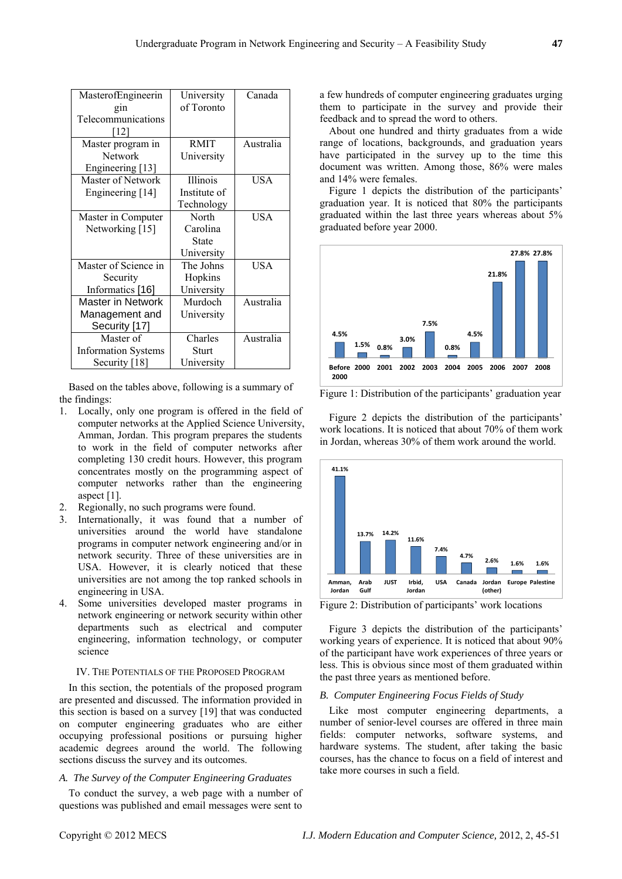| MasterofEngineerin         | University   | Canada    |
|----------------------------|--------------|-----------|
| gin                        | of Toronto   |           |
| Telecommunications         |              |           |
| [12]                       |              |           |
| Master program in          | <b>RMIT</b>  | Australia |
| <b>Network</b>             |              |           |
|                            | University   |           |
| Engineering [13]           |              |           |
| Master of Network          | Illinois     | USA       |
| Engineering [14]           | Institute of |           |
|                            | Technology   |           |
| Master in Computer         | North        | USA       |
| Networking [15]            | Carolina     |           |
|                            | State        |           |
|                            | University   |           |
| Master of Science in       | The Johns    | USA       |
| Security                   | Hopkins      |           |
| Informatics [16]           | University   |           |
| <b>Master in Network</b>   | Murdoch      | Australia |
| Management and             | University   |           |
| Security [17]              |              |           |
| Master of                  | Charles      | Australia |
| <b>Information Systems</b> | Sturt        |           |
| Security [18]              | University   |           |

<span id="page-2-0"></span> Based on the tables above, following is a summary of the findings:

- 1. Locally, only one program is offered in the field of computer networks at the Applied Science University, Amman, Jordan. This program prepares the students to work in the field of computer networks after completing 130 credit hours. However, this program concentrates mostly on the programming aspect of computer networks rather than the engineering aspect [\[1\].](#page-5-0)
- 2. Regionally, no such programs were found.
- 3. Internationally, it was found that a number of universities around the world have standalone programs in computer network engineering and/or in network security. Three of these universities are in USA. However, it is clearly noticed that these universities are not among the top ranked schools in engineering in USA.
- <span id="page-2-1"></span>4. Some universities developed master programs in network engineering or network security within other departments such as electrical and computer engineering, information technology, or computer science

# IV. THE POTENTIALS OF THE PROPOSED PROGRAM

In this section, the potentials of the proposed program are presented and discussed. The information provided in this section is based on a survey [\[19\]](#page-6-10) that was conducted on computer engineering graduates who are either occupying professional positions or pursuing higher academic degrees around the world. The following sections discuss the survey and its outcomes.

### *A. The Survey of the Computer Engineering Graduates*

To conduct the survey, a web page with a number of questions was published and email messages were sent to

a few hundreds of computer engineering graduates urging them to participate in the survey and provide their feedback and to spread the word to others.

About one hundred and thirty graduates from a wide range of locations, backgrounds, and graduation years have participated in the survey up to the time this document was written. Among those, 86% were males and 14% were females.

[Figure 1](#page-2-0) depicts the distribution of the participants' graduation year. It is noticed that 80% the participants graduated within the last three years whereas about 5% graduated before year 2000.



Figure 1: Distribution of the participants' graduation year

[Figure 2](#page-2-1) depicts the distribution of the participants' work locations. It is noticed that about 70% of them work in Jordan, whereas 30% of them work around the world.



Figure 2: Distribution of participants' work locations

[Figure 3](#page-3-0) depicts the distribution of the participants' working years of experience. It is noticed that about 90% of the participant have work experiences of three years or less. This is obvious since most of them graduated within the past three years as mentioned before.

## *B. Computer Engineering Focus Fields of Study*

Like most computer engineering departments, a number of senior-level courses are offered in three main fields: computer networks, software systems, and hardware systems. The student, after taking the basic courses, has the chance to focus on a field of interest and take more courses in such a field.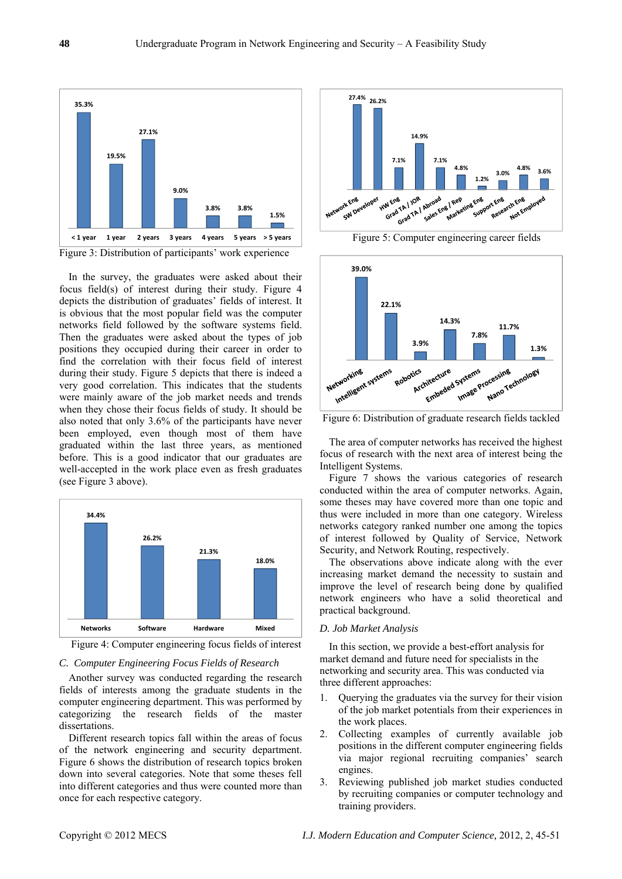

<span id="page-3-2"></span><span id="page-3-0"></span>Figure 3: Distribution of participants' work experience

In the survey, the graduates were asked about their focus field(s) of interest during their study. [Figure 4](#page-3-1) depicts the distribution of graduates' fields of interest. It is obvious that the most popular field was the computer networks field followed by the software systems field. Then the graduates were asked about the types of job positions they occupied during their career in order to find the correlation with their focus field of interest during their study. [Figure 5](#page-3-2) depicts that there is indeed a very good correlation. This indicates that the students were mainly aware of the job market needs and trends when they chose their focus fields of study. It should be also noted that only 3.6% of the participants have never been employed, even though most of them have graduated within the last three years, as mentioned before. This is a good indicator that our graduates are well-accepted in the work place even as fresh graduates (see [Figure 3](#page-3-0) above).

<span id="page-3-3"></span>

Figure 4: Computer engineering focus fields of interest

## <span id="page-3-1"></span>*C. Computer Engineering Focus Fields of Research*

Another survey was conducted regarding the research fields of interests among the graduate students in the computer engineering department. This was performed by categorizing the research fields of the master dissertations.

Different research topics fall within the areas of focus of the network engineering and security department. [Figure 6](#page-3-3) shows the distribution of research topics broken down into several categories. Note that some theses fell into different categories and thus were counted more than once for each respective category.



Figure 5: Computer engineering career fields



Figure 6: Distribution of graduate research fields tackled

The area of computer networks has received the highest focus of research with the next area of interest being the Intelligent Systems.

[Figure 7](#page-4-0) shows the various categories of research conducted within the area of computer networks. Again, some theses may have covered more than one topic and thus were included in more than one category. Wireless networks category ranked number one among the topics of interest followed by Quality of Service, Network Security, and Network Routing, respectively.

The observations above indicate along with the ever increasing market demand the necessity to sustain and improve the level of research being done by qualified network engineers who have a solid theoretical and practical background.

#### *D. Job Market Analysis*

In this section, we provide a best-effort analysis for market demand and future need for specialists in the networking and security area. This was conducted via three different approaches:

- 1. Querying the graduates via the survey for their vision of the job market potentials from their experiences in the work places.
- 2. Collecting examples of currently available job positions in the different computer engineering fields via major regional recruiting companies' search engines.
- 3. Reviewing published job market studies conducted by recruiting companies or computer technology and training providers.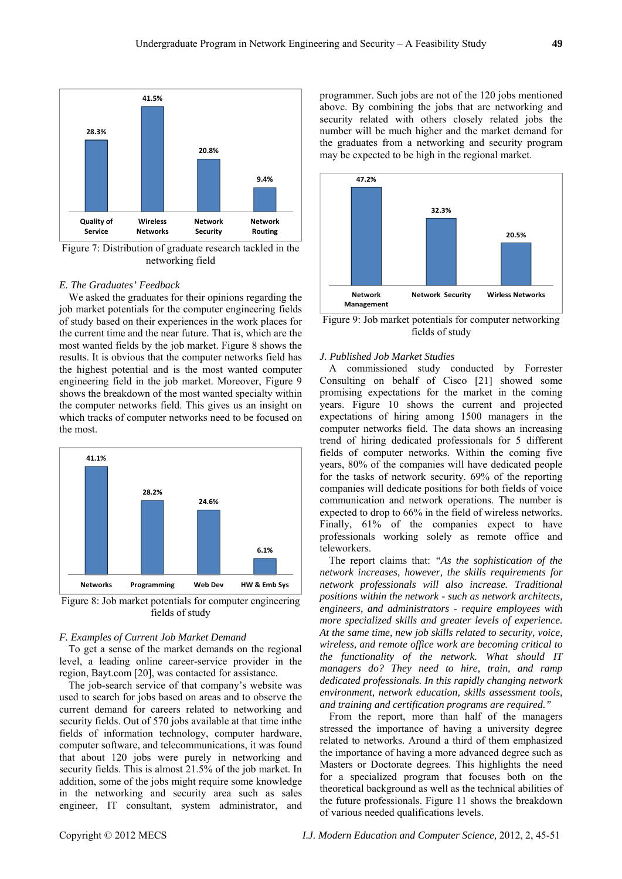

<span id="page-4-0"></span>Figure 7: Distribution of graduate research tackled in the networking field

## *E. The Graduates' Feedback*

<span id="page-4-2"></span>We asked the graduates for their opinions regarding the job market potentials for the computer engineering fields of study based on their experiences in the work places for the current time and the near future. That is, which are the most wanted fields by the job market. [Figure 8](#page-4-1) shows the results. It is obvious that the computer networks field has the highest potential and is the most wanted computer engineering field in the job market. Moreover, [Figure 9](#page-4-2) shows the breakdown of the most wanted specialty within the computer networks field. This gives us an insight on which tracks of computer networks need to be focused on the most.



<span id="page-4-1"></span>Figure 8: Job market potentials for computer engineering fields of study

### *F. Examples of Current Job Market Demand*

To get a sense of the market demands on the regional level, a leading online career-service provider in the region, Bayt.com [\[20\]](#page-6-11), was contacted for assistance.

The job-search service of that company's website was used to search for jobs based on areas and to observe the current demand for careers related to networking and security fields. Out of 570 jobs available at that time inthe fields of information technology, computer hardware, computer software, and telecommunications, it was found that about 120 jobs were purely in networking and security fields. This is almost 21.5% of the job market. In addition, some of the jobs might require some knowledge in the networking and security area such as sales engineer, IT consultant, system administrator, and

programmer. Such jobs are not of the 120 jobs mentioned above. By combining the jobs that are networking and security related with others closely related jobs the number will be much higher and the market demand for the graduates from a networking and security program may be expected to be high in the regional market.



Figure 9: Job market potentials for computer networking fields of study

#### *J. Published Job Market Studies*

A commissioned study conducted by Forrester Consulting on behalf of Cisco [\[21\]](#page-6-12) showed some promising expectations for the market in the coming years. [Figure 10](#page-5-8) shows the current and projected expectations of hiring among 1500 managers in the computer networks field. The data shows an increasing trend of hiring dedicated professionals for 5 different fields of computer networks. Within the coming five years, 80% of the companies will have dedicated people for the tasks of network security. 69% of the reporting companies will dedicate positions for both fields of voice communication and network operations. The number is expected to drop to 66% in the field of wireless networks. Finally,  $61\%$  of the companies expect to have professionals working solely as remote office and teleworkers.

The report claims that: *"As the sophistication of the network increases, however, the skills requirements for network professionals will also increase. Traditional positions within the network - such as network architects, engineers, and administrators - require employees with more specialized skills and greater levels of experience. At the same time, new job skills related to security, voice, wireless, and remote office work are becoming critical to the functionality of the network. What should IT managers do? They need to hire, train, and ramp dedicated professionals. In this rapidly changing network environment, network education, skills assessment tools, and training and certification programs are required."*

From the report, more than half of the managers stressed the importance of having a university degree related to networks. Around a third of them emphasized the importance of having a more advanced degree such as Masters or Doctorate degrees. This highlights the need for a specialized program that focuses both on the theoretical background as well as the technical abilities of the future professionals. [Figure 11](#page-5-9) shows the breakdown of various needed qualifications levels.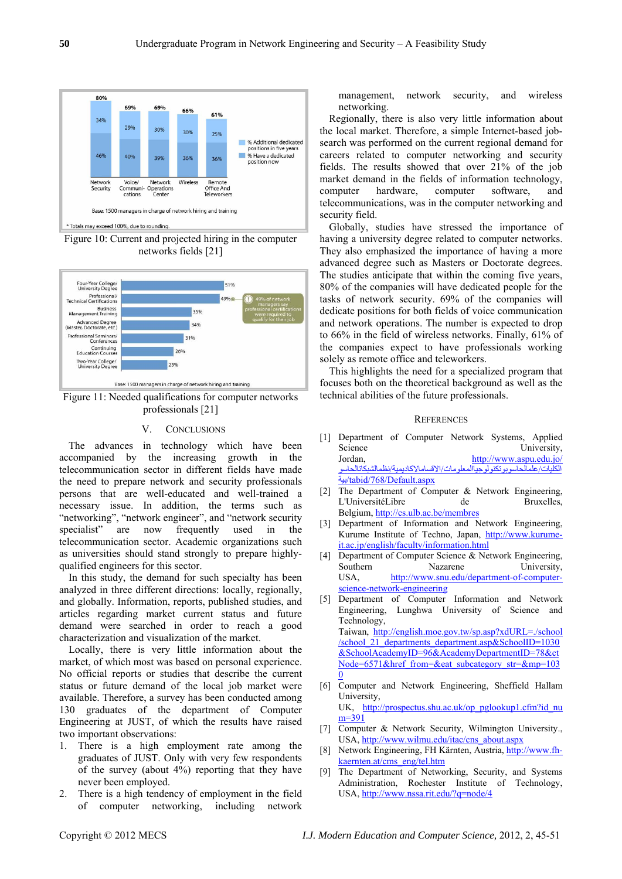

Figure 10: Current and projected hiring in the computer networks fields [\[](#page-6-11)21[\]](#page-6-12)

<span id="page-5-8"></span>

<span id="page-5-9"></span>Figure 11: Needed qualifications for computer networks professionals [\[21\]](#page-6-12) 

## V. CONCLUSIONS

<span id="page-5-0"></span>The advances in technology which have been accompanied by the increasing growth in the telecommunication sector in different fields have made the need to prepare network and security professionals persons that are well-educated and well-trained a necessary issue. In addition, the terms such as "networking", "network engineer", and "network security specialist" are now frequently used in the telecommunication sector. Academic organizations such as universities should stand strongly to prepare highlyqualified engineers for this sector.

<span id="page-5-3"></span><span id="page-5-2"></span><span id="page-5-1"></span>In this study, the demand for such specialty has been analyzed in three different directions: locally, regionally, and globally. Information, reports, published studies, and articles regarding market current status and future demand were searched in order to reach a good characterization and visualization of the market.

<span id="page-5-4"></span>Locally, there is very little information about the market, of which most was based on personal experience. No official reports or studies that describe the current status or future demand of the local job market were available. Therefore, a survey has been conducted among 130 graduates of the department of Computer Engineering at JUST, of which the results have raised two important observations:

- <span id="page-5-7"></span><span id="page-5-6"></span><span id="page-5-5"></span>1. There is a high employment rate among the graduates of JUST. Only with very few respondents of the survey (about 4%) reporting that they have never been employed.
- 2. There is a high tendency of employment in the field of computer networking, including network

management, network security, and wireless networking.

Regionally, there is also very little information about the local market. Therefore, a simple Internet-based jobsearch was performed on the current regional demand for careers related to computer networking and security fields. The results showed that over 21% of the job market demand in the fields of information technology, computer hardware, computer software, and telecommunications, was in the computer networking and security field.

Globally, studies have stressed the importance of having a university degree related to computer networks. They also emphasized the importance of having a more advanced degree such as Masters or Doctorate degrees. The studies anticipate that within the coming five years, 80% of the companies will have dedicated people for the tasks of network security. 69% of the companies will dedicate positions for both fields of voice communication and network operations. The number is expected to drop to 66% in the field of wireless networks. Finally, 61% of the companies expect to have professionals working solely as remote office and teleworkers.

This highlights the need for a specialized program that focuses both on the theoretical background as well as the technical abilities of the future professionals.

## **REFERENCES**

- [1] Department of Computer Network Systems, Applied Science University, Jordan, [http://www.aspu.edu.jo/](http://www.aspu.edu.jo/%D8%A7%D9%84%D9%83%D9%84%D9%8A%D8%A7%D8%AA/%D8%B9%D9%84%D9%85%D8%A7%D9%84%D8%AD%D8%A7%D8%B3%D9%88%D8%A8%D9%88%D8%AA%D9%83%D9%86%D9%88%D9%84%D9%88%D8%AC%D9%8A%D8%A7%D8%A7%D9%84%D9%85%D8%B9%D9%84%D9%88%D9%85%D8%A7%D8%AA/%D8%A7%D9%84%D8%A7%D9%82%D8%B3%D8%A7%D9%85%D8%A7%D9%84%D8%A7%D9%83%D8%A7%D8%AF%D9%8A%D9%85%D9%8A%D8%A9/%D9%86%D8%B8%D9%85%D8%A7%D9%84%D8%B4%D8%A8%D9%83%D8%A7%D8%AA%D8%A7%D9%84%D8%AD%D8%A7%D8%B3%D9%88%D8%A8%D9%8A%D8%A9/tabid/768/Default.aspx) المستقدمين<br>الكليات/[علمالحاسوبوتكنولوجياالمعلومات](http://www.aspu.edu.jo/%D8%A7%D9%84%D9%83%D9%84%D9%8A%D8%A7%D8%AA/%D8%B9%D9%84%D9%85%D8%A7%D9%84%D8%AD%D8%A7%D8%B3%D9%88%D8%A8%D9%88%D8%AA%D9%83%D9%86%D9%88%D9%84%D9%88%D8%AC%D9%8A%D8%A7%D8%A7%D9%84%D9%85%D8%B9%D9%84%D9%88%D9%85%D8%A7%D8%AA/%D8%A7%D9%84%D8%A7%D9%82%D8%B3%D8%A7%D9%85%D8%A7%D9%84%D8%A7%D9%83%D8%A7%D8%AF%D9%8A%D9%85%D9%8A%D8%A9/%D9%86%D8%B8%D9%85%D8%A7%D9%84%D8%B4%D8%A8%D9%83%D8%A7%D8%AA%D8%A7%D9%84%D8%AD%D8%A7%D8%B3%D9%88%D8%A8%D9%8A%D8%A9/tabid/768/Default.aspx)/الاقسامالاكاديمية/نظمالشبكاتالحاسو بية[/tabid/768/Default.aspx](http://www.aspu.edu.jo/%D8%A7%D9%84%D9%83%D9%84%D9%8A%D8%A7%D8%AA/%D8%B9%D9%84%D9%85%D8%A7%D9%84%D8%AD%D8%A7%D8%B3%D9%88%D8%A8%D9%88%D8%AA%D9%83%D9%86%D9%88%D9%84%D9%88%D8%AC%D9%8A%D8%A7%D8%A7%D9%84%D9%85%D8%B9%D9%84%D9%88%D9%85%D8%A7%D8%AA/%D8%A7%D9%84%D8%A7%D9%82%D8%B3%D8%A7%D9%85%D8%A7%D9%84%D8%A7%D9%83%D8%A7%D8%AF%D9%8A%D9%85%D9%8A%D8%A9/%D9%86%D8%B8%D9%85%D8%A7%D9%84%D8%B4%D8%A8%D9%83%D8%A7%D8%AA%D8%A7%D9%84%D8%AD%D8%A7%D8%B3%D9%88%D8%A8%D9%8A%D8%A9/tabid/768/Default.aspx)
- [2] The Department of Computer & Network Engineering, L'UniversitéLibre de Bruxelles, Belgium, <http://cs.ulb.ac.be/membres>
- [3] Department of Information and Network Engineering, Kurume Institute of Techno, Japan, [http://www.kurume](http://www.kurume-it.ac.jp/english/faculty/information.html)[it.ac.jp/english/faculty/information.html](http://www.kurume-it.ac.jp/english/faculty/information.html)
- [4] Department of Computer Science & Network Engineering, Southern Nazarene University, USA, [http://www.snu.edu/department-of-computer](http://www.snu.edu/department-of-computer-science-network-engineering)[science-network-engineering](http://www.snu.edu/department-of-computer-science-network-engineering)
- [5] Department of Computer Information and Network Engineering, Lunghwa University of Science and Technology, Taiwan, [http://english.moe.gov.tw/sp.asp?xdURL=./school](http://english.moe.gov.tw/sp.asp?xdURL=./school/school_21_departments_department.asp&SchoolID=1030&SchoolAcademyID=96&AcademyDepartmentID=78&ctNode=6571&href_from=&eat_subcategory_str=&mp=1030) [/school\\_21\\_departments\\_department.asp&SchoolID=1030](http://english.moe.gov.tw/sp.asp?xdURL=./school/school_21_departments_department.asp&SchoolID=1030&SchoolAcademyID=96&AcademyDepartmentID=78&ctNode=6571&href_from=&eat_subcategory_str=&mp=1030) [&SchoolAcademyID=96&AcademyDepartmentID=78&ct](http://english.moe.gov.tw/sp.asp?xdURL=./school/school_21_departments_department.asp&SchoolID=1030&SchoolAcademyID=96&AcademyDepartmentID=78&ctNode=6571&href_from=&eat_subcategory_str=&mp=1030) [Node=6571&href\\_from=&eat\\_subcategory\\_str=&mp=103](http://english.moe.gov.tw/sp.asp?xdURL=./school/school_21_departments_department.asp&SchoolID=1030&SchoolAcademyID=96&AcademyDepartmentID=78&ctNode=6571&href_from=&eat_subcategory_str=&mp=1030)  $\overline{0}$  $\overline{0}$  $\overline{0}$
- [6] Computer and Network Engineering, Sheffield Hallam University, UK, [http://prospectus.shu.ac.uk/op\\_pglookup1.cfm?id\\_nu](http://prospectus.shu.ac.uk/op_pglookup1.cfm?id_num=391) [m=391](http://prospectus.shu.ac.uk/op_pglookup1.cfm?id_num=391)
- [7] Computer & Network Security, Wilmington University., USA, [http://www.wilmu.edu/itac/cns\\_about.aspx](http://www.wilmu.edu/itac/cns_about.aspx)
- [8] Network Engineering, FH Kärnten, Austria, [http://www.fh](http://www.fh-kaernten.at/cms_eng/tel.htm)[kaernten.at/cms\\_eng/tel.htm](http://www.fh-kaernten.at/cms_eng/tel.htm)
- [9] The Department of Networking, Security, and Systems Administration, Rochester Institute of Technology, USA, <http://www.nssa.rit.edu/?q=node/4>